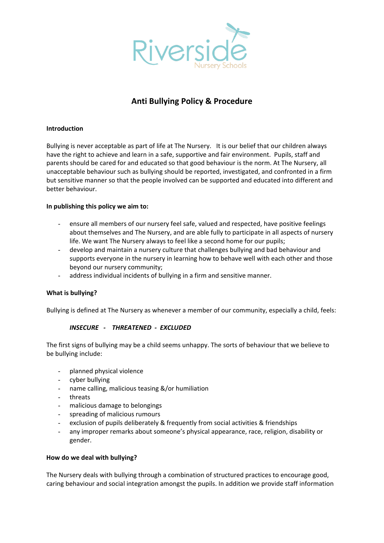

# **Anti Bullying Policy & Procedure**

## **Introduction**

Bullying is never acceptable as part of life at The Nursery. It is our belief that our children always have the right to achieve and learn in a safe, supportive and fair environment. Pupils, staff and parents should be cared for and educated so that good behaviour is the norm. At The Nursery, all unacceptable behaviour such as bullying should be reported, investigated, and confronted in a firm but sensitive manner so that the people involved can be supported and educated into different and better behaviour.

### **In publishing this policy we aim to:**

- ensure all members of our nursery feel safe, valued and respected, have positive feelings about themselves and The Nursery, and are able fully to participate in all aspects of nursery life. We want The Nursery always to feel like a second home for our pupils;
- develop and maintain a nursery culture that challenges bullying and bad behaviour and supports everyone in the nursery in learning how to behave well with each other and those beyond our nursery community;
- address individual incidents of bullying in a firm and sensitive manner.

### **What is bullying?**

Bullying is defined at The Nursery as whenever a member of our community, especially a child, feels:

## *INSECURE - THREATENED - EXCLUDED*

The first signs of bullying may be a child seems unhappy. The sorts of behaviour that we believe to be bullying include:

- planned physical violence
- cyber bullying
- name calling, malicious teasing &/or humiliation
- threats
- malicious damage to belongings
- spreading of malicious rumours
- exclusion of pupils deliberately & frequently from social activities & friendships
- any improper remarks about someone's physical appearance, race, religion, disability or gender.

### **How do we deal with bullying?**

The Nursery deals with bullying through a combination of structured practices to encourage good, caring behaviour and social integration amongst the pupils. In addition we provide staff information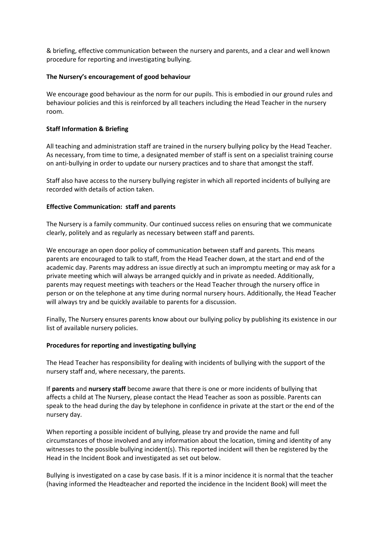& briefing, effective communication between the nursery and parents, and a clear and well known procedure for reporting and investigating bullying.

#### **The Nursery's encouragement of good behaviour**

We encourage good behaviour as the norm for our pupils. This is embodied in our ground rules and behaviour policies and this is reinforced by all teachers including the Head Teacher in the nursery room.

#### **Staff Information & Briefing**

All teaching and administration staff are trained in the nursery bullying policy by the Head Teacher. As necessary, from time to time, a designated member of staff is sent on a specialist training course on anti-bullying in order to update our nursery practices and to share that amongst the staff.

Staff also have access to the nursery bullying register in which all reported incidents of bullying are recorded with details of action taken.

#### **Effective Communication: staff and parents**

The Nursery is a family community. Our continued success relies on ensuring that we communicate clearly, politely and as regularly as necessary between staff and parents.

We encourage an open door policy of communication between staff and parents. This means parents are encouraged to talk to staff, from the Head Teacher down, at the start and end of the academic day. Parents may address an issue directly at such an impromptu meeting or may ask for a private meeting which will always be arranged quickly and in private as needed. Additionally, parents may request meetings with teachers or the Head Teacher through the nursery office in person or on the telephone at any time during normal nursery hours. Additionally, the Head Teacher will always try and be quickly available to parents for a discussion.

Finally, The Nursery ensures parents know about our bullying policy by publishing its existence in our list of available nursery policies.

#### **Procedures for reporting and investigating bullying**

The Head Teacher has responsibility for dealing with incidents of bullying with the support of the nursery staff and, where necessary, the parents.

If **parents** and **nursery staff** become aware that there is one or more incidents of bullying that affects a child at The Nursery, please contact the Head Teacher as soon as possible. Parents can speak to the head during the day by telephone in confidence in private at the start or the end of the nursery day.

When reporting a possible incident of bullying, please try and provide the name and full circumstances of those involved and any information about the location, timing and identity of any witnesses to the possible bullying incident(s). This reported incident will then be registered by the Head in the Incident Book and investigated as set out below.

Bullying is investigated on a case by case basis. If it is a minor incidence it is normal that the teacher (having informed the Headteacher and reported the incidence in the Incident Book) will meet the